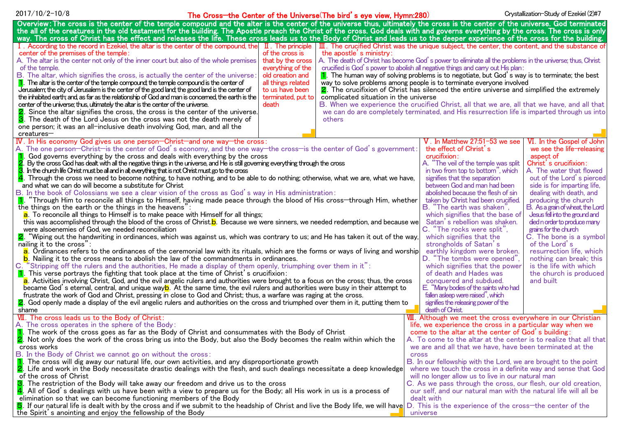|  |  |  | 2017/10/2-10/8 |
|--|--|--|----------------|
|--|--|--|----------------|

# 2017/10/2-10/8 **Exercise Study of Exercise** The Cross—the Center of the Universe(The bird's eye view, Hymn:280) Crystallization-Study of Ezekiel (2)#7

| Overview: The cross is the center of the temple compound and the alter is the center of the universe thus, ultimately the cross is the center of the universe. God terminated                                                                                                                                                                                                                                 |                                                                                                             |  |  |  |
|---------------------------------------------------------------------------------------------------------------------------------------------------------------------------------------------------------------------------------------------------------------------------------------------------------------------------------------------------------------------------------------------------------------|-------------------------------------------------------------------------------------------------------------|--|--|--|
| the all of the creatures in the old testament for the building. The Apostle preach the Christ of the cross. God deals with and governs everything by the cross. The cross is only                                                                                                                                                                                                                             |                                                                                                             |  |  |  |
| way. The cross of Christ has the effect and releases the life. These cross leads us to the Body of Christ and leads us to the deeper experience of the cross for the building.<br>. According to the record in Ezekiel, the altar is the center of the compound, the $\ I\ $ . The principle<br>$\overline{III}$ . The crucified Christ was the unique subject, the center, the content, and the substance of |                                                                                                             |  |  |  |
| center of the premises of the temple:<br>of the cross is<br>the apostle's ministry:                                                                                                                                                                                                                                                                                                                           |                                                                                                             |  |  |  |
| that by the cross<br>A. The altar is the center not only of the inner court but also of the whole premises                                                                                                                                                                                                                                                                                                    | A. The death of Christ has become God's power to eliminate all the problems in the universe; thus, Christ   |  |  |  |
| everything of the<br>of the temple.                                                                                                                                                                                                                                                                                                                                                                           | crucified is God's power to abolish all negative things and carry out His plan:                             |  |  |  |
| B. The altar, which signifies the cross, is actually the center of the universe:<br>old creation and                                                                                                                                                                                                                                                                                                          | $\blacksquare$ . The human way of solving problems is to negotiate, but God's way is to terminate; the best |  |  |  |
| $\vert$ . The altar is the center of the temple compound; the temple compound is the center of<br>all things related<br>way to solve problems among people is to terminate everyone involved                                                                                                                                                                                                                  |                                                                                                             |  |  |  |
| Jerusalem; the city of Jerusalem is the center of the good land; the good land is the center of<br>to us have been                                                                                                                                                                                                                                                                                            | 2. The crucifixion of Christ has silenced the entire universe and simplified the extremely                  |  |  |  |
| the inhabited earth; and, as far as the relationship of God and man is concerned, the earth is the<br>terminated, put to<br>complicated situation in the universe                                                                                                                                                                                                                                             |                                                                                                             |  |  |  |
| center of the universe; thus, ultimately the altar is the center of the universe.<br>death                                                                                                                                                                                                                                                                                                                    | B. When we experience the crucified Christ, all that we are, all that we have, and all that                 |  |  |  |
| <b>2.</b> Since the altar signifies the cross, the cross is the center of the universe.                                                                                                                                                                                                                                                                                                                       | we can do are completely terminated, and His resurrection life is imparted through us into                  |  |  |  |
| 3. The death of the Lord Jesus on the cross was not the death merely of<br>others                                                                                                                                                                                                                                                                                                                             |                                                                                                             |  |  |  |
| one person; it was an all-inclusive death involving God, man, and all the                                                                                                                                                                                                                                                                                                                                     |                                                                                                             |  |  |  |
| creatures-                                                                                                                                                                                                                                                                                                                                                                                                    |                                                                                                             |  |  |  |
| IV. In His economy God gives us one person-Christ-and one way-the cross:                                                                                                                                                                                                                                                                                                                                      | VI. In the Gospel of John<br>$\rm V$ . In Matthew 27:51-53 we see                                           |  |  |  |
| A. The one person—Christ—is the center of God's economy, and the one way—the cross—is the center of God's government:<br>the effect of Christ's<br>we see the life-releasing                                                                                                                                                                                                                                  |                                                                                                             |  |  |  |
| crucifixion:<br>God governs everything by the cross and deals with everything by the cross<br>aspect of<br>Christ's crucifixion:                                                                                                                                                                                                                                                                              |                                                                                                             |  |  |  |
| 2<br>A. "The veil of the temple was split<br>By the cross God has dealt with all the negative things in the universe, and He is still governing everything through the cross<br>З<br>A. The water that flowed<br>in two from top to bottom", which                                                                                                                                                            |                                                                                                             |  |  |  |
| In the church life Christ must be all and in all; everything that is not Christ must go to the cross<br>$\frac{4}{1}$ . Through the cross we need to become nothing, to have nothing, and to be able to do nothing; otherwise, what we are, what we have,<br>signifies that the separation                                                                                                                    |                                                                                                             |  |  |  |
| out of the Lord's pierced<br>between God and man had been<br>side is for imparting life,<br>and what we can do will become a substitute for Christ                                                                                                                                                                                                                                                            |                                                                                                             |  |  |  |
| abolished because the flesh of sin<br>dealing with death, and<br>B. In the book of Colossians we see a clear vision of the cross as God's way in His administration:                                                                                                                                                                                                                                          |                                                                                                             |  |  |  |
| 1. "Through Him to reconcile all things to Himself, having made peace through the blood of His cross—through Him, whether<br>taken by Christ had been crucified.<br>producing the church                                                                                                                                                                                                                      |                                                                                                             |  |  |  |
| the things on the earth or the things in the heavens":                                                                                                                                                                                                                                                                                                                                                        | B. "The earth was shaken",<br>B. As a grain of wheat, the Lord                                              |  |  |  |
| Jesus fell into the ground and<br>a. To reconcile all things to Himself is to make peace with Himself for all things;<br>which signifies that the base of                                                                                                                                                                                                                                                     |                                                                                                             |  |  |  |
| this was accomplished through the blood of the cross of Christ. <b>b</b> . Because we were sinners, we needed redemption, and because we                                                                                                                                                                                                                                                                      | Satan's rebellion was shaken.<br>died n order to produce many                                               |  |  |  |
| were alsoenemies of God, we needed reconciliation                                                                                                                                                                                                                                                                                                                                                             | C. "The rocks were split",<br>grains for the church                                                         |  |  |  |
| C. The bone is a symbol<br>2. "Wiping out the handwriting in ordinances, which was against us, which was contrary to us; and He has taken it out of the way,<br>which signifies that the                                                                                                                                                                                                                      |                                                                                                             |  |  |  |
| nailing it to the cross":<br>strongholds of Satan's<br>of the Lord's                                                                                                                                                                                                                                                                                                                                          |                                                                                                             |  |  |  |
| earthly kingdom were broken.<br>a. Ordinances refers to the ordinances of the ceremonial law with its rituals, which are the forms or ways of living and worship<br>resurrection life, which                                                                                                                                                                                                                  |                                                                                                             |  |  |  |
| b. Nailing it to the cross means to abolish the law of the commandments in ordinances.<br>D. "The tombs were opened",<br>nothing can break; this                                                                                                                                                                                                                                                              |                                                                                                             |  |  |  |
| C. "Stripping off the rulers and the authorities, He made a display of them openly, triumphing over them in it":<br>which signifies that the power<br>is the life with which                                                                                                                                                                                                                                  |                                                                                                             |  |  |  |
| 1. This verse portrays the fighting that took place at the time of Christ's crucifixion:<br>of death and Hades was<br>the church is produced                                                                                                                                                                                                                                                                  |                                                                                                             |  |  |  |
| a. Activities involving Christ, God, and the evil angelic rulers and authorities were brought to a focus on the cross; thus, the cross<br>conquered and subdued.<br>and built                                                                                                                                                                                                                                 |                                                                                                             |  |  |  |
| became God's eternal, central, and unique way <mark>b</mark> . At the same time, the evil rulers and authorities were busy in their attempt to<br>E. "Many bodies of the saints who had                                                                                                                                                                                                                       |                                                                                                             |  |  |  |
| fallen asleep were raised", which<br>frustrate the work of God and Christ, pressing in close to God and Christ; thus, a warfare was raging at the cross.                                                                                                                                                                                                                                                      |                                                                                                             |  |  |  |
| 2. God openly made a display of the evil angelic rulers and authorities on the cross and triumphed over them in it, putting them to<br>shame                                                                                                                                                                                                                                                                  | signifies the releasing power of the<br>death of Christ.                                                    |  |  |  |
| VII. The cross leads us to the Body of Christ:                                                                                                                                                                                                                                                                                                                                                                | VIII. Although we meet the cross everywhere in our Christian                                                |  |  |  |
| A. The cross operates in the sphere of the Body:                                                                                                                                                                                                                                                                                                                                                              | life, we experience the cross in a particular way when we                                                   |  |  |  |
| 1. The work of the cross goes as far as the Body of Christ and consummates with the Body of Christ                                                                                                                                                                                                                                                                                                            | come to the altar at the center of God's building:                                                          |  |  |  |
| 2. Not only does the work of the cross bring us into the Body, but also the Body becomes the realm within which the                                                                                                                                                                                                                                                                                           | A. To come to the altar at the center is to realize that all that                                           |  |  |  |
| cross works                                                                                                                                                                                                                                                                                                                                                                                                   | we are and all that we have, have been terminated at the                                                    |  |  |  |
| B. In the Body of Christ we cannot go on without the cross:                                                                                                                                                                                                                                                                                                                                                   | <b>Cross</b>                                                                                                |  |  |  |
| $\mathbf 1$ . The cross will dig away our natural life, our own activities, and any disproportionate growth                                                                                                                                                                                                                                                                                                   | B. In our fellowship with the Lord, we are brought to the point                                             |  |  |  |
| 2. Life and work in the Body necessitate drastic dealings with the flesh, and such dealings necessitate a deep knowledge                                                                                                                                                                                                                                                                                      | where we touch the cross in a definite way and sense that God                                               |  |  |  |
| of the cross of Christ<br>will no longer allow us to live in our natural man                                                                                                                                                                                                                                                                                                                                  |                                                                                                             |  |  |  |
| The restriction of the Body will take away our freedom and drive us to the cross                                                                                                                                                                                                                                                                                                                              | C. As we pass through the cross, our flesh, our old creation,                                               |  |  |  |
| 4. All of God's dealings with us have been with a view to prepare us for the Body; all His work in us is a process of                                                                                                                                                                                                                                                                                         | our self, and our natural man with the natural life will all be                                             |  |  |  |
| elimination so that we can become functioning members of the Body<br>dealt with                                                                                                                                                                                                                                                                                                                               |                                                                                                             |  |  |  |
| 5. If our natural life is dealt with by the cross and if we submit to the headship of Christ and live the Body life, we will have D. This is the experience of the cross—the center of the                                                                                                                                                                                                                    |                                                                                                             |  |  |  |
| the Spirit's anointing and enjoy the fellowship of the Body                                                                                                                                                                                                                                                                                                                                                   | universe                                                                                                    |  |  |  |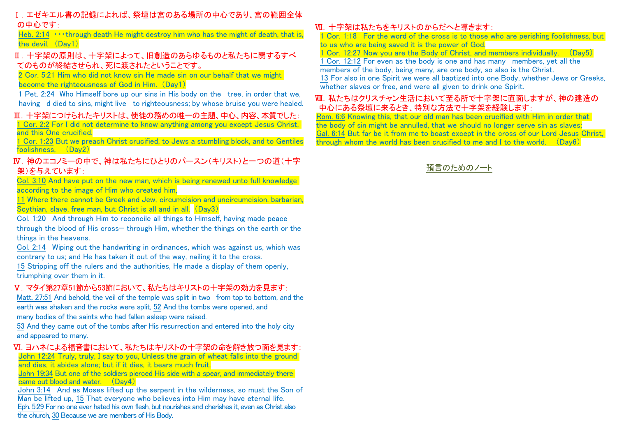# Ⅰ.エゼキエル書の記録によれば、祭壇は宮のある場所の中心であり、宮の範囲全体 の中心です:

Heb.  $2:14$   $\cdots$  through death He might destroy him who has the might of death, that is, the devil, (Day1)

# Ⅱ.十字架の原則は、十字架によって、旧創造のあらゆるものと私たちに関するすべ てのものが終結させられ、死に渡されたということです。

2 Cor. 5:21 Him who did not know sin He made sin on our behalf that we might become the righteousness of God in Him. (Day1)

1 Pet. 2:24 Who Himself bore up our sins in His body on the tree, in order that we, having d died to sins, might live to righteousness; by whose bruise you were healed.

# Ⅲ.十字架につけられたキリストは、使徒の務めの唯一の主題、中心、内容、本質でした:

1 Cor. 2:2 For I did not determine to know anything among you except Jesus Christ, and this One crucified.

1 Cor. 1:23 But we preach Christ crucified, to Jews a stumbling block, and to Gentiles foolishness, (Day2)

# Ⅳ.神のエコノミーの中で、神は私たちにひとりのパースン(キリスト)と一つの道(十字 架)を与えています:

Col. 3:10 And have put on the new man, which is being renewed unto full knowledge according to the image of Him who created him,

11 Where there cannot be Greek and Jew, circumcision and uncircumcision, barbarian, Scythian, slave, free man, but Christ is all and in all. (Day3)

Col. 1:20 And through Him to reconcile all things to Himself, having made peace through the blood of His cross— through Him, whether the things on the earth or the things in the heavens.

Col. 2:14 Wiping out the handwriting in ordinances, which was against us, which was contrary to us; and He has taken it out of the way, nailing it to the cross.

15 Stripping off the rulers and the authorities, He made a display of them openly, triumphing over them in it.

# Ⅴ.マタイ第27章51節から53節において、私たちはキリストの十字架の効力を見ます:

Matt. 27:51 And behold, the veil of the temple was split in two from top to bottom, and the earth was shaken and the rocks were split, 52 And the tombs were opened, and

many bodies of the saints who had fallen asleep were raised.

53 And they came out of the tombs after His resurrection and entered into the holy city and appeared to many.

# Ⅵ.ヨハネによる福音書において、私たちはキリストの十字架の命を解き放つ面を見ます:

John 12:24 Truly, truly, I say to you, Unless the grain of wheat falls into the ground and dies, it abides alone; but if it dies, it bears much fruit.

John 19:34 But one of the soldiers pierced His side with a spear, and immediately there came out blood and water. (Day4)

John 3:14 And as Moses lifted up the serpent in the wilderness, so must the Son of Man be lifted up, 15 That everyone who believes into Him may have eternal life. Eph. 5:29 For no one ever hated his own flesh, but nourishes and cherishes it, even as Christ also the church, 30 Because we are members of His Body.

# Ⅶ.十字架は私たちをキリストのからだへと導きます:

1 Cor. 1:18 For the word of the cross is to those who are perishing foolishness, but to us who are being saved it is the power of God.

1 Cor. 12:27 Now you are the Body of Christ, and members individually. (Day5)

1 Cor. 12:12 For even as the body is one and has many members, yet all the members of the body, being many, are one body, so also is the Christ.

13 For also in one Spirit we were all baptized into one Body, whether Jews or Greeks, whether slaves or free, and were all given to drink one Spirit.

# Ⅷ.私たちはクリスチャン生活において至る所で十字架に直面しますが、神の建造の 中心にある祭壇に来るとき、特別な方法で十字架を経験します:

Rom. 6:6 Knowing this, that our old man has been crucified with Him in order that the body of sin might be annulled, that we should no longer serve sin as slaves; Gal. 6:14 But far be it from me to boast except in the cross of our Lord Jesus Christ, through whom the world has been crucified to me and I to the world. (Day6)

預言のためのノート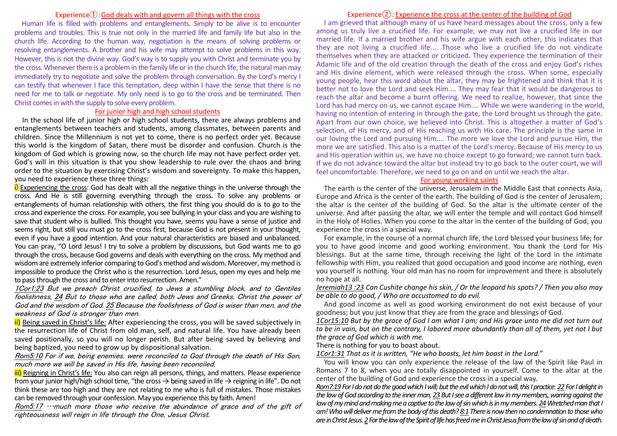### Experience①:God deals with and govern all things with the cross

Human life is filled with problems and entanglements. Simply to be alive is to encounter problems and troubles. This is true not only in the married life and family life but also in the church life. According to the human way, negotiation is the means of solving problems or resolving entanglements. A brother and his wife may attempt to solve problems in this way. However, this is not the divine way. God's way is to supply you with Christ and terminate you by the cross. Whenever there is a problem in the family life or in the church life, the natural man may immediately try to negotiate and solve the problem through conversation. By the Lord's mercy I can testify that whenever I face this temptation, deep within I have the sense that there is no need for me to talk or negotiate. My only need is to go to the cross and be terminated. Then Christ comes in with the supply to solve every problem.

#### For junior high and high school students

In the school life of junior high or high school students, there are always problems and entanglements between teachers and students, among classmates, between parents and children. Since the Millennium is not yet to come, there is no perfect order yet. Because this world is the kingdom of Satan, there must be disorder and confusion. Church is the kingdom of God which is growing now, so the church life may not have perfect order yet. God's will in this situation is that you show leadership to rule over the chaos and bring order to the situation by exercising Christ's wisdom and sovereignty. To make this happen, you need to experience these three things:

i) Experiencing the cross: God has dealt with all the negative things in the universe through the cross. And He is still governing everything through the cross. To solve any problems or entanglements of human relationship with others, the first thing you should do is to go to the cross and experience the cross. For example, you see bullying in your class and you are wishing to save that student who is bullied. This thought you have, seems you have a sense of justice and seems right, but still you must go to the cross first, because God is not present in your thought, even if you have a good intention. And your natural characteristics are biased and unbalanced. You can pray, "O Lord Jesus! I try to solve a problem by discussions, but God wants me to go through the cross, because God governs and deals with everything on the cross. My method and wisdom are extremely inferior comparing to God's method and wisdom. Moreover, my method is impossible to produce the Christ who is the resurrection. Lord Jesus, open my eyes and help me to pass through the cross and to enter into resurrection. Amen."

1Cor1:23 But we preach Christ crucified, to Jews a stumbling block, and to Gentiles foolishness, 24 But to those who are called, both Jews and Greeks, Christ the power of God and the wisdom of God. 25 Because the foolishness of God is wiser than men, and the weakness of God is stronger than men.

ii) Being saved in Christ's life: After experiencing the cross, you will be saved subjectively in the resurrection life of Christ from old man, self, and natural life. You have already been saved positionally, so you will no longer perish. But after being saved by believing and being baptized, you need to grow up by dispositional salvation.

Rom5:10 For if we, being enemies, were reconciled to God through the death of His Son, much more we will be saved in His life, having been reconciled,

iii) Reigning in Christ's life: You also can reign all persons, things, and matters. Please experience from your junior high/high school time, "the cross  $\rightarrow$  being saved in life  $\rightarrow$  reigning in life". Do not think these are too high and they are not relating to me who is full of mistakes. Those mistakes can be removed through your confession. May you experience this by faith. Amen!

Rom5:17 …much more those who receive the abundance of grace and of the gift of righteousness will reign in life through the One, Jesus Christ.

### Experience $(2)$ : Experience the cross at the center of the building of God

I am grieved that although many of us have heard messages about the cross, only a few among us truly live a crucified life. For example, we may not live a crucified life in our married life. If a married brother and his wife argue with each other, this indicates that they are not living a crucified life.... Those who live a crucified life do not vindicate themselves when they are attacked or criticized. They experience the termination of their Adamic life and of the old creation through the death of the cross and enjoy God's riches and His divine element, which were released through the cross. When some, especially young people, hear this word about the altar, they may be frightened and think that it is better not to love the Lord and seek Him.... They may fear that it would be dangerous to reach the altar and become a burnt offering. We need to realize, however, that since the Lord has had mercy on us, we cannot escape Him.... While we were wandering in the world, having no intention of entering in through the gate, the Lord brought us through the gate. Apart from our own choice, we believed into Christ. This is altogether a matter of God's selection, of His mercy, and of His reaching us with His care. The principle is the same in our loving the Lord and pursuing Him.... The more we love the Lord and pursue Him, the more we are satisfied. This also is a matter of the Lord's mercy. Because of His mercy to us and His operation within us, we have no choice except to go forward; we cannot turn back. If we do not advance toward the altar but instead try to go back to the outer court, we will feel uncomfortable. Therefore, we need to go on and on until we reach the altar.

#### For young working saints

The earth is the center of the universe, Jerusalem in the Middle East that connects Asia, Europe and Africa is the center of the earth. The building of God is the center of Jerusalem; the altar is the center of the building of God. So the altar is the ultimate center of the universe. And after passing the altar, we will enter the temple and will contact God himself in the Holy of Holies. When you come to the altar in the center of the building of God, you experience the cross in a special way.

For example, in the course of a normal church life, the Lord blessed your business life; for you to have good income and good working environment. You thank the Lord for His blessings. But at the same time, through receiving the light of the Lord in the intimate fellowship with Him, you realized that good occupation and good income are nothing, even you yourself is nothing. Your old man has no room for improvement and there is absolutely no hope at all.

*Jeremiah13*:*23 Can Cushite change his skin, / Or the leopard his spots? / Then you also may be able to do good, / Who are accustomed to do evil.* 

And good income as well as good working environment do not exist because of your goodness; but you just know that they are from the grace and blessings of God.

*1Cor15:10 But by the grace of God I am what I am; and His grace unto me did not turn out to be in vain, but on the contrary, I labored more abundantly than all of them, yet not I but the grace of God which is with me.*

There is nothing for you to boast about.

*1Cor1:31 That as it is written, "He who boasts, let him boast in the Lord."*

You will know you can only experience the release of the law of the Spirit like Paul in Romans 7 to 8, when you are totally disappointed in yourself. Come to the altar at the center of the building of God and experience the cross in a special way.

*Rom7:19 For I do not do the good which I will; but the evil which I do not will, this I practice. 22 For I delight in the law of God according to the inner man, 23 But I see a different law in my members, warring against the law of my mind and making me a captive to the law of sin which is in my members. 24Wretched man that I am! Who will deliver me fromthe body of this death? 8:1 There is now then no condemnation to those who are in Christ Jesus. 2For the law of the Spirit of life has freed me in Christ Jesus from the law of sin and of death.*